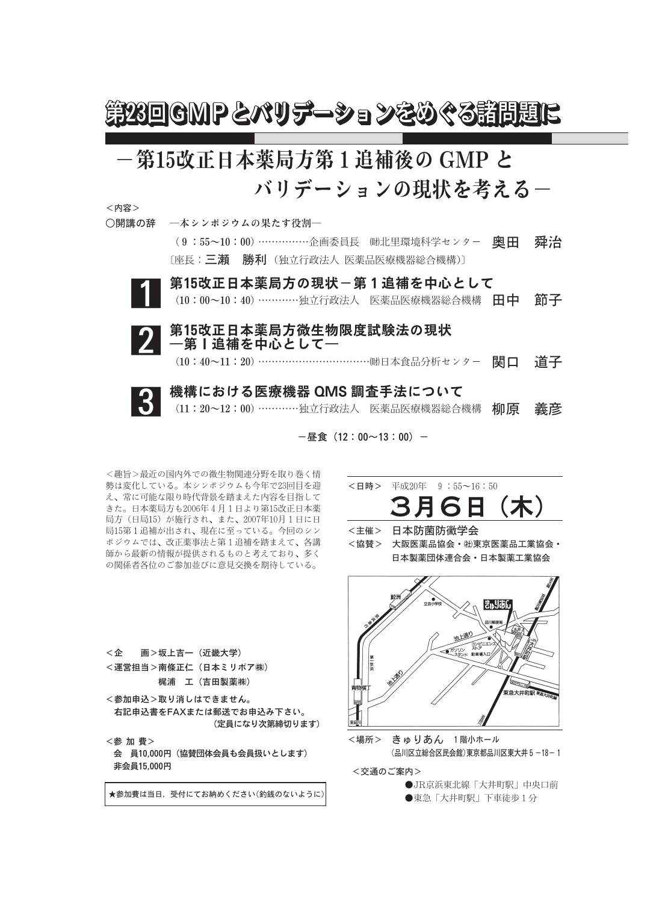

## ー第15改正日本薬局方第1追補後の GMP と バリデーションの現状を考える–

<内容>

- ○開講の辞 ―本シンポジウムの果たす役割―
	- (9:55~10:00)……………企画委員長 (助北里環境科学センター 奥田 舜治 〔座長:三瀬 勝利 (独立行政法人 医薬品医療機器総合機構)〕
	- 第15改正日本薬局方の現状~第1追補を中心として (10:00~10:40) ………… 独立行政法人 医薬品医療機器総合機構 田中 節子



第15改正日本薬局方微生物限度試験法の現状 一第1追補を中心として一 (10:40~11:20) …………………………………側日本食品分析センター ■ □ 道子

## 機構における医療機器 QMS 調査手法について (11:20~12:00) …………独立行政法人 医薬品医療機器総合機構 柳原 義彦

 $-B$ 食 (12:00~13:00) -

<趣旨>最近の国内外での微生物関連分野を取り巻く情 勢は変化している。本シンポジウムも今年で23回目を迎 え、常に可能な限り時代背景を踏まえた内容を目指して きた。日本薬局方も2006年4月1日より第15改正日本薬 局方 (日局15) が施行され、また、2007年10月1日に日 局15第1追補が出され、現在に至っている。今回のシン ポジウムでは、改正薬事法と第1追補を踏まえて、各講 師から最新の情報が提供されるものと考えており、多く の関係者各位のご参加並びに意見交換を期待している。

- <日時>平成20年 9:55~16:50 (木) 6 H <主催> 日本防菌防黴学会 <協替> 大阪医薬品協会· H東京医薬品工業協会· 日本製薬団体連合会·日本製薬工業協会 池上通り 煞
	- a Maria 東急大井町駅
- <場所> きゅりあん 1階小ホール (品川区立総合区民会館)東京都品川区東大井 5 −18−1

<交通のご案内>

●JR京浜東北線「大井町駅」中央口前 ●東急「大井町駅」下車徒歩1分

- $<$  企 画>坂上吉一 (近畿大学) <運営担当>南條正仁 (日本ミリポア㈱) 梶浦 工 (吉田製薬株)
- <参加申込>取り消しはできません。 右記申込書をFAXまたは郵送でお申込み下さい。 (定員になり次第締切ります)
- <参加費> 会 員10,000円 (協賛団体会員も会員扱いとします) 非会員15,000円

★参加費は当日, 受付にてお納めください(釣銭のないように)